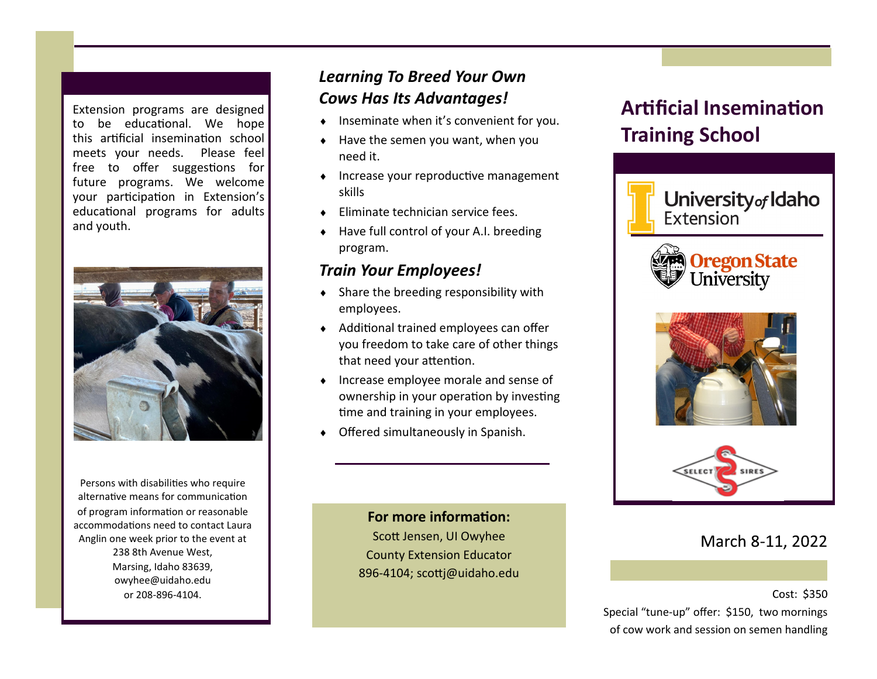Extension programs are designed to be educational. We hope this artificial insemination school meets your needs. Please feel free to offer suggestions for future programs. We welcome your participation in Extension's educational programs for adults and youth.



Persons with disabilities who require alternative means for communication of program information or reasonable accommodations need to contact Laura Anglin one week prior to the event at 238 8th Avenue West, Marsing, Idaho 83639, owyhee@uidaho.edu or 208-896-4104.

### *Learning To Breed Your Own Cows Has Its Advantages!*

- ◆ Inseminate when it's convenient for you.
- $\bullet$  Have the semen you want, when you need it.
- $\bullet$  Increase your reproductive management skills
- ◆ Eliminate technician service fees.
- ◆ Have full control of your A.I. breeding program.

#### *Train Your Employees!*

- Share the breeding responsibility with employees.
- Additional trained employees can offer you freedom to take care of other things that need your attention.
- $\bullet$  Increase employee morale and sense of ownership in your operation by investing time and training in your employees.
- Offered simultaneously in Spanish.

### **For more information:** Scott Jensen, UI Owyhee County Extension Educator

896-4104; scottj@uidaho.edu

# **Artificial Insemination Training School**



#### March 8-11, 2022

Cost: \$350 Special "tune-up" offer: \$150, two mornings of cow work and session on semen handling